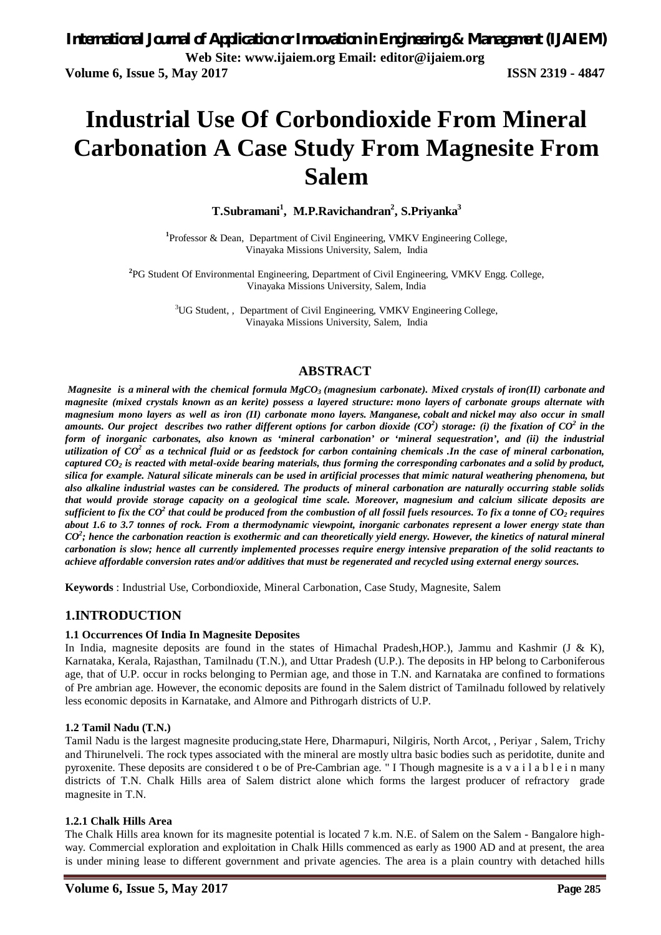# **Industrial Use Of Corbondioxide From Mineral Carbonation A Case Study From Magnesite From Salem**

**T.Subramani<sup>1</sup> , M.P.Ravichandran<sup>2</sup> , S.Priyanka<sup>3</sup>**

<sup>1</sup>Professor & Dean, Department of Civil Engineering, VMKV Engineering College, Vinayaka Missions University, Salem, India

**2** PG Student Of Environmental Engineering, Department of Civil Engineering, VMKV Engg. College, Vinayaka Missions University, Salem, India

> <sup>3</sup>UG Student, , Department of Civil Engineering, VMKV Engineering College, Vinayaka Missions University, Salem, India

## **ABSTRACT**

*Magnesite is a mineral with the chemical formula MgCO<sup>3</sup> (magnesium carbonate). Mixed crystals of iron(II) carbonate and magnesite (mixed crystals known as an kerite) possess a layered structure: mono layers of carbonate groups alternate with magnesium mono layers as well as iron (II) carbonate mono layers. Manganese, cobalt and nickel may also occur in small amounts. Our project describes two rather different options for carbon dioxide (CO<sup>2</sup> ) storage: (i) the fixation of CO<sup>2</sup> in the form of inorganic carbonates, also known as 'mineral carbonation' or 'mineral sequestration', and (ii) the industrial utilization of CO<sup>2</sup> as a technical fluid or as feedstock for carbon containing chemicals .In the case of mineral carbonation, captured CO<sup>2</sup> is reacted with metal-oxide bearing materials, thus forming the corresponding carbonates and a solid by product, silica for example. Natural silicate minerals can be used in artificial processes that mimic natural weathering phenomena, but also alkaline industrial wastes can be considered. The products of mineral carbonation are naturally occurring stable solids that would provide storage capacity on a geological time scale. Moreover, magnesium and calcium silicate deposits are sufficient to fix the CO<sup>2</sup> that could be produced from the combustion of all fossil fuels resources. To fix a tonne of CO<sup>2</sup> requires about 1.6 to 3.7 tonnes of rock. From a thermodynamic viewpoint, inorganic carbonates represent a lower energy state than CO<sup>2</sup> ; hence the carbonation reaction is exothermic and can theoretically yield energy. However, the kinetics of natural mineral carbonation is slow; hence all currently implemented processes require energy intensive preparation of the solid reactants to achieve affordable conversion rates and/or additives that must be regenerated and recycled using external energy sources.* 

**Keywords** : Industrial Use, Corbondioxide, Mineral Carbonation, Case Study, Magnesite, Salem

### **1.INTRODUCTION**

#### **1.1 Occurrences Of India In Magnesite Deposites**

In India, magnesite deposits are found in the states of Himachal Pradesh, HOP.), Jammu and Kashmir (J & K), Karnataka, Kerala, Rajasthan, Tamilnadu (T.N.), and Uttar Pradesh (U.P.). The deposits in HP belong to Carboniferous age, that of U.P. occur in rocks belonging to Permian age, and those in T.N. and Karnataka are confined to formations of Pre ambrian age. However, the economic deposits are found in the Salem district of Tamilnadu followed by relatively less economic deposits in Karnatake, and Almore and Pithrogarh districts of U.P.

#### **1.2 Tamil Nadu (T.N.)**

Tamil Nadu is the largest magnesite producing,state Here, Dharmapuri, Nilgiris, North Arcot, , Periyar , Salem, Trichy and Thirunelveli. The rock types associated with the mineral are mostly ultra basic bodies such as peridotite, dunite and pyroxenite. These deposits are considered t o be of Pre-Cambrian age. " I Though magnesite is a v a i l a b l e i n many districts of T.N. Chalk Hills area of Salem district alone which forms the largest producer of refractory grade magnesite in T.N.

#### **1.2.1 Chalk Hills Area**

The Chalk Hills area known for its magnesite potential is located 7 k.m. N.E. of Salem on the Salem - Bangalore highway. Commercial exploration and exploitation in Chalk Hills commenced as early as 1900 AD and at present, the area is under mining lease to different government and private agencies. The area is a plain country with detached hills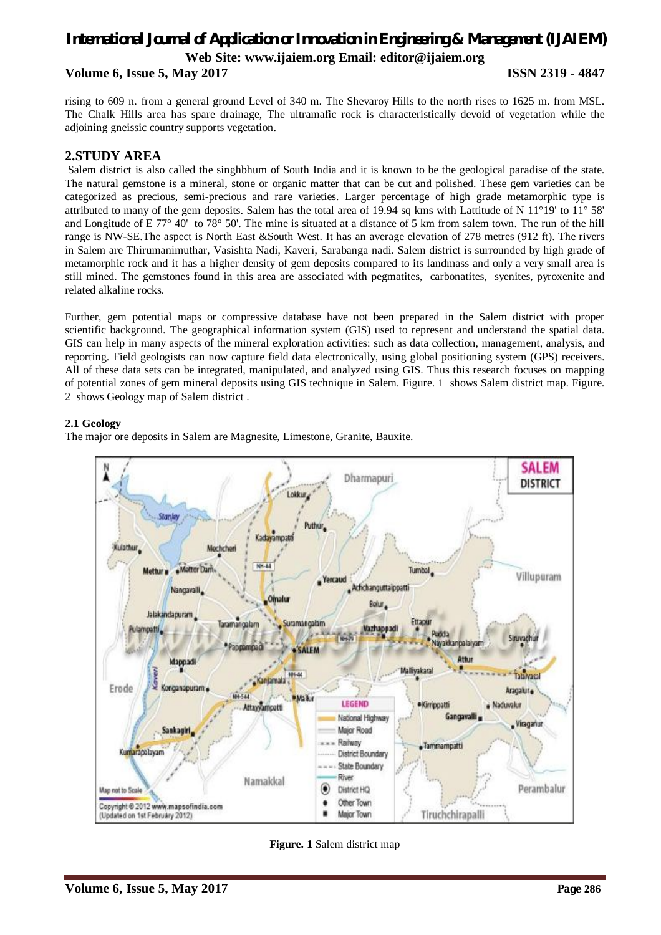## *International Journal of Application or Innovation in Engineering & Management (IJAIEM)* **Web Site: www.ijaiem.org Email: editor@ijaiem.org**

**Volume 6, Issue 5, May 2017 ISSN 2319 - 4847**

rising to 609 n. from a general ground Level of 340 m. The Shevaroy Hills to the north rises to 1625 m. from MSL. The Chalk Hills area has spare drainage, The ultramafic rock is characteristically devoid of vegetation while the adjoining gneissic country supports vegetation.

### **2.STUDY AREA**

Salem district is also called the singhbhum of South India and it is known to be the geological paradise of the state. The natural gemstone is a mineral, stone or organic matter that can be cut and polished. These gem varieties can be categorized as precious, semi-precious and rare varieties. Larger percentage of high grade metamorphic type is attributed to many of the gem deposits. Salem has the total area of 19.94 sq kms with Lattitude of N 11°19' to 11° 58' and Longitude of E 77° 40' to 78° 50'. The mine is situated at a distance of 5 km from salem town. The run of the hill range is NW-SE.The aspect is North East &South West. It has an average elevation of 278 metres (912 ft). The rivers in Salem are Thirumanimuthar, Vasishta Nadi, Kaveri, Sarabanga nadi. Salem district is surrounded by high grade of metamorphic rock and it has a higher density of gem deposits compared to its landmass and only a very small area is still mined. The gemstones found in this area are associated with pegmatites, carbonatites, syenites, pyroxenite and related alkaline rocks.

Further, gem potential maps or compressive database have not been prepared in the Salem district with proper scientific background. The geographical information system (GIS) used to represent and understand the spatial data. GIS can help in many aspects of the mineral exploration activities: such as data collection, management, analysis, and reporting. Field geologists can now capture field data electronically, using global positioning system (GPS) receivers. All of these data sets can be integrated, manipulated, and analyzed using GIS. Thus this research focuses on mapping of potential zones of gem mineral deposits using GIS technique in Salem. Figure. 1 shows Salem district map. Figure. 2 shows Geology map of Salem district .

#### **2.1 Geology**

The major ore deposits in Salem are Magnesite, Limestone, Granite, Bauxite.



**Figure. 1** Salem district map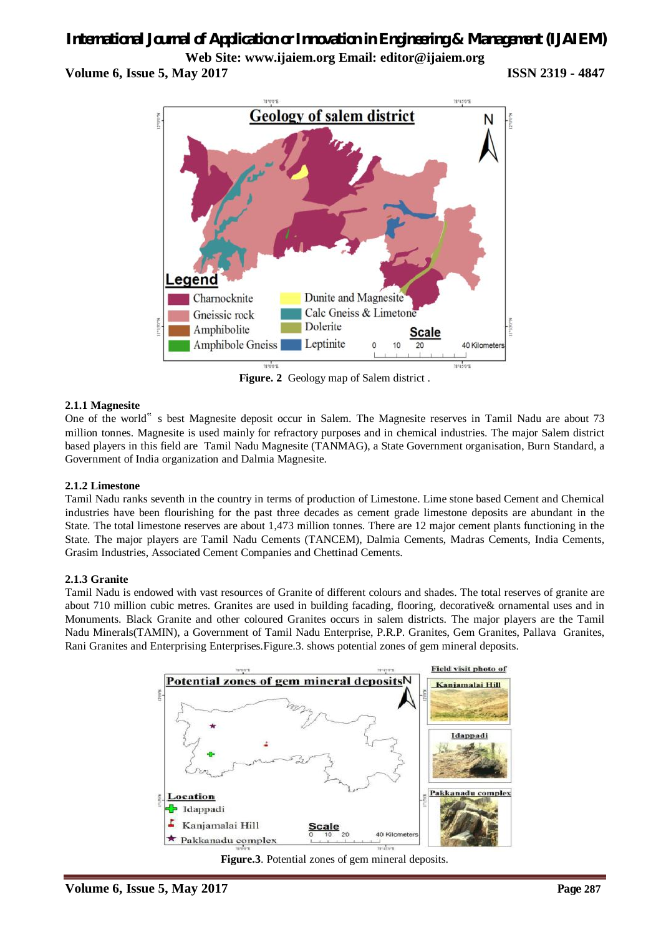**Web Site: www.ijaiem.org Email: editor@ijaiem.org Volume 6, Issue 5, May 2017 ISSN 2319 - 4847**



**Figure. 2** Geology map of Salem district .

#### **2.1.1 Magnesite**

One of the world" s best Magnesite deposit occur in Salem. The Magnesite reserves in Tamil Nadu are about 73 million tonnes. Magnesite is used mainly for refractory purposes and in chemical industries. The major Salem district based players in this field are Tamil Nadu Magnesite (TANMAG), a State Government organisation, Burn Standard, a Government of India organization and Dalmia Magnesite.

#### **2.1.2 Limestone**

Tamil Nadu ranks seventh in the country in terms of production of Limestone. Lime stone based Cement and Chemical industries have been flourishing for the past three decades as cement grade limestone deposits are abundant in the State. The total limestone reserves are about 1,473 million tonnes. There are 12 major cement plants functioning in the State. The major players are Tamil Nadu Cements (TANCEM), Dalmia Cements, Madras Cements, India Cements, Grasim Industries, Associated Cement Companies and Chettinad Cements.

#### **2.1.3 Granite**

Tamil Nadu is endowed with vast resources of Granite of different colours and shades. The total reserves of granite are about 710 million cubic metres. Granites are used in building facading, flooring, decorative& ornamental uses and in Monuments. Black Granite and other coloured Granites occurs in salem districts. The major players are the Tamil Nadu Minerals(TAMIN), a Government of Tamil Nadu Enterprise, P.R.P. Granites, Gem Granites, Pallava Granites, Rani Granites and Enterprising Enterprises.Figure.3. shows potential zones of gem mineral deposits.



**Figure.3**. Potential zones of gem mineral deposits.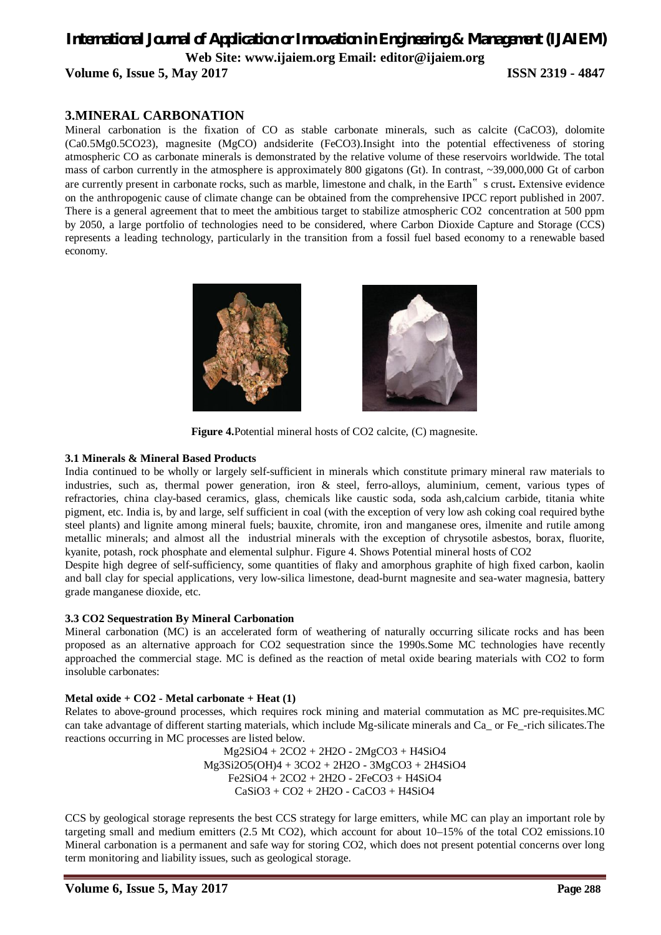## *International Journal of Application or Innovation in Engineering & Management (IJAIEM)* **Web Site: www.ijaiem.org Email: editor@ijaiem.org Volume 6, Issue 5, May 2017 ISSN 2319 - 4847**

## **3.MINERAL CARBONATION**

Mineral carbonation is the fixation of CO as stable carbonate minerals, such as calcite (CaCO3), dolomite (Ca0.5Mg0.5CO23), magnesite (MgCO) andsiderite (FeCO3).Insight into the potential effectiveness of storing atmospheric CO as carbonate minerals is demonstrated by the relative volume of these reservoirs worldwide. The total mass of carbon currently in the atmosphere is approximately 800 gigatons (Gt). In contrast, ~39,000,000 Gt of carbon are currently present in carbonate rocks, such as marble, limestone and chalk, in the Earth" s crust**.** Extensive evidence on the anthropogenic cause of climate change can be obtained from the comprehensive IPCC report published in 2007. There is a general agreement that to meet the ambitious target to stabilize atmospheric CO2 concentration at 500 ppm by 2050, a large portfolio of technologies need to be considered, where Carbon Dioxide Capture and Storage (CCS) represents a leading technology, particularly in the transition from a fossil fuel based economy to a renewable based economy.



**Figure 4.**Potential mineral hosts of CO2 calcite, (C) magnesite.

#### **3.1 Minerals & Mineral Based Products**

India continued to be wholly or largely self-sufficient in minerals which constitute primary mineral raw materials to industries, such as, thermal power generation, iron & steel, ferro-alloys, aluminium, cement, various types of refractories, china clay-based ceramics, glass, chemicals like caustic soda, soda ash,calcium carbide, titania white pigment, etc. India is, by and large, self sufficient in coal (with the exception of very low ash coking coal required bythe steel plants) and lignite among mineral fuels; bauxite, chromite, iron and manganese ores, ilmenite and rutile among metallic minerals; and almost all the industrial minerals with the exception of chrysotile asbestos, borax, fluorite, kyanite, potash, rock phosphate and elemental sulphur. Figure 4. Shows Potential mineral hosts of CO2

Despite high degree of self-sufficiency, some quantities of flaky and amorphous graphite of high fixed carbon, kaolin and ball clay for special applications, very low-silica limestone, dead-burnt magnesite and sea-water magnesia, battery grade manganese dioxide, etc.

#### **3.3 CO2 Sequestration By Mineral Carbonation**

Mineral carbonation (MC) is an accelerated form of weathering of naturally occurring silicate rocks and has been proposed as an alternative approach for CO2 sequestration since the 1990s.Some MC technologies have recently approached the commercial stage. MC is defined as the reaction of metal oxide bearing materials with CO2 to form insoluble carbonates:

#### **Metal oxide + CO2 - Metal carbonate + Heat (1)**

Relates to above-ground processes, which requires rock mining and material commutation as MC pre-requisites.MC can take advantage of different starting materials, which include Mg-silicate minerals and Ca\_ or Fe\_-rich silicates.The reactions occurring in MC processes are listed below.

Mg2SiO4 + 2CO2 + 2H2O - 2MgCO3 + H4SiO4 Mg3Si2O5(OH)4 + 3CO2 + 2H2O - 3MgCO3 + 2H4SiO4 Fe2SiO4 + 2CO2 + 2H2O - 2FeCO3 + H4SiO4 CaSiO3 + CO2 + 2H2O - CaCO3 + H4SiO4

CCS by geological storage represents the best CCS strategy for large emitters, while MC can play an important role by targeting small and medium emitters (2.5 Mt CO2), which account for about 10–15% of the total CO2 emissions.10 Mineral carbonation is a permanent and safe way for storing CO2, which does not present potential concerns over long term monitoring and liability issues, such as geological storage.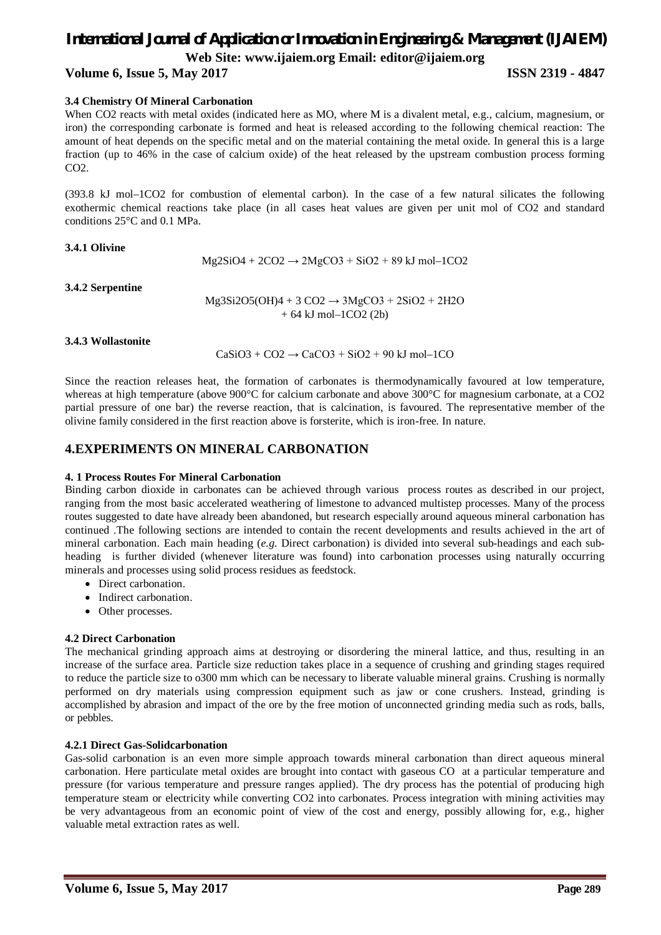**Web Site: www.ijaiem.org Email: editor@ijaiem.org**

**Volume 6, Issue 5, May 2017 ISSN 2319 - 4847**

## **3.4 Chemistry Of Mineral Carbonation**

When CO2 reacts with metal oxides (indicated here as MO, where M is a divalent metal, e.g., calcium, magnesium, or iron) the corresponding carbonate is formed and heat is released according to the following chemical reaction: The amount of heat depends on the specific metal and on the material containing the metal oxide. In general this is a large fraction (up to 46% in the case of calcium oxide) of the heat released by the upstream combustion process forming CO<sub>2</sub>.

(393.8 kJ mol–1CO2 for combustion of elemental carbon). In the case of a few natural silicates the following exothermic chemical reactions take place (in all cases heat values are given per unit mol of CO2 and standard conditions 25°C and 0.1 MPa.

**3.4.1 Olivine** 

 $Mg2SiO4 + 2CO2 \rightarrow 2MgCO3 + SiO2 + 89$  kJ mol–1CO2

**3.4.2 Serpentine** 

 $Mg3Si2O5(OH)4 + 3 CO2 \rightarrow 3MgCO3 + 2SiO2 + 2H2O$  $+ 64$  kJ mol $-1CO2$  (2b)

#### **3.4.3 Wollastonite**

 $CaSiO3 + CO2 \rightarrow CaCO3 + SiO2 + 90$  kJ mol–1CO

Since the reaction releases heat, the formation of carbonates is thermodynamically favoured at low temperature, whereas at high temperature (above 900°C for calcium carbonate and above 300°C for magnesium carbonate, at a CO2 partial pressure of one bar) the reverse reaction, that is calcination, is favoured. The representative member of the olivine family considered in the first reaction above is forsterite, which is iron-free. In nature.

### **4.EXPERIMENTS ON MINERAL CARBONATION**

#### **4. 1 Process Routes For Mineral Carbonation**

Binding carbon dioxide in carbonates can be achieved through various process routes as described in our project, ranging from the most basic accelerated weathering of limestone to advanced multistep processes. Many of the process routes suggested to date have already been abandoned, but research especially around aqueous mineral carbonation has continued .The following sections are intended to contain the recent developments and results achieved in the art of mineral carbonation. Each main heading (*e.g.* Direct carbonation) is divided into several sub-headings and each subheading is further divided (whenever literature was found) into carbonation processes using naturally occurring minerals and processes using solid process residues as feedstock.

- Direct carbonation.
- Indirect carbonation.
- Other processes.

#### **4.2 Direct Carbonation**

The mechanical grinding approach aims at destroying or disordering the mineral lattice, and thus, resulting in an increase of the surface area. Particle size reduction takes place in a sequence of crushing and grinding stages required to reduce the particle size to o300 mm which can be necessary to liberate valuable mineral grains. Crushing is normally performed on dry materials using compression equipment such as jaw or cone crushers. Instead, grinding is accomplished by abrasion and impact of the ore by the free motion of unconnected grinding media such as rods, balls, or pebbles.

#### **4.2.1 Direct Gas-Solidcarbonation**

Gas-solid carbonation is an even more simple approach towards mineral carbonation than direct aqueous mineral carbonation. Here particulate metal oxides are brought into contact with gaseous CO at a particular temperature and pressure (for various temperature and pressure ranges applied). The dry process has the potential of producing high temperature steam or electricity while converting CO2 into carbonates. Process integration with mining activities may be very advantageous from an economic point of view of the cost and energy, possibly allowing for, e.g*.*, higher valuable metal extraction rates as well.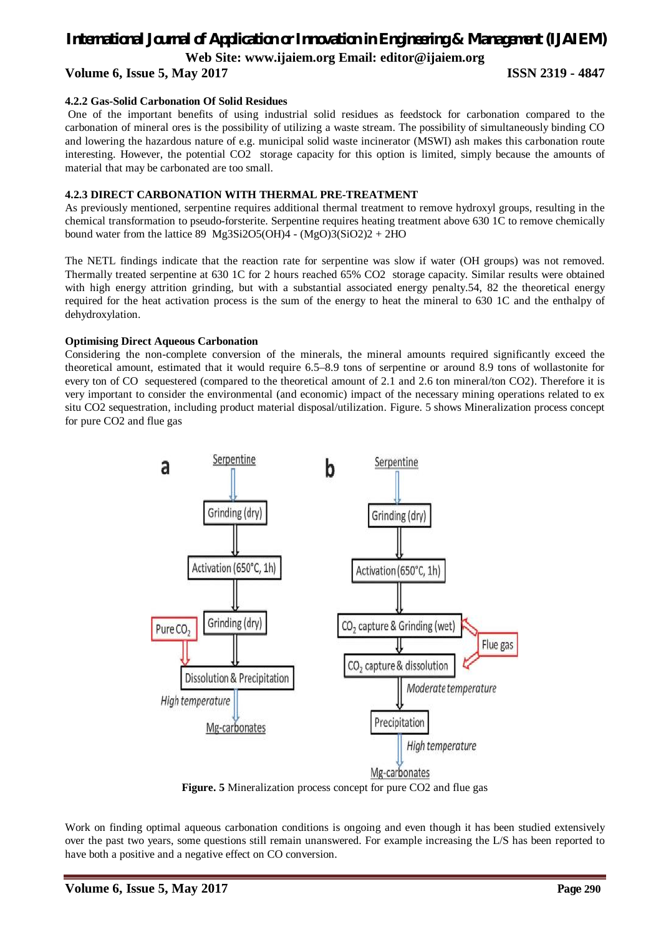**Web Site: www.ijaiem.org Email: editor@ijaiem.org**

## **Volume 6, Issue 5, May 2017 ISSN 2319 - 4847**

#### **4.2.2 Gas-Solid Carbonation Of Solid Residues**

One of the important benefits of using industrial solid residues as feedstock for carbonation compared to the carbonation of mineral ores is the possibility of utilizing a waste stream. The possibility of simultaneously binding CO and lowering the hazardous nature of e.g. municipal solid waste incinerator (MSWI) ash makes this carbonation route interesting. However, the potential CO2 storage capacity for this option is limited, simply because the amounts of material that may be carbonated are too small.

#### **4.2.3 DIRECT CARBONATION WITH THERMAL PRE-TREATMENT**

As previously mentioned, serpentine requires additional thermal treatment to remove hydroxyl groups, resulting in the chemical transformation to pseudo-forsterite. Serpentine requires heating treatment above 630 1C to remove chemically bound water from the lattice 89 Mg3Si2O5(OH)4 - (MgO)3(SiO2)2 + 2HO

The NETL findings indicate that the reaction rate for serpentine was slow if water (OH groups) was not removed. Thermally treated serpentine at 630 1C for 2 hours reached 65% CO2 storage capacity. Similar results were obtained with high energy attrition grinding, but with a substantial associated energy penalty.54, 82 the theoretical energy required for the heat activation process is the sum of the energy to heat the mineral to 630 1C and the enthalpy of dehydroxylation.

#### **Optimising Direct Aqueous Carbonation**

Considering the non-complete conversion of the minerals, the mineral amounts required significantly exceed the theoretical amount, estimated that it would require 6.5–8.9 tons of serpentine or around 8.9 tons of wollastonite for every ton of CO sequestered (compared to the theoretical amount of 2.1 and 2.6 ton mineral/ton CO2). Therefore it is very important to consider the environmental (and economic) impact of the necessary mining operations related to ex situ CO2 sequestration, including product material disposal/utilization. Figure. 5 shows Mineralization process concept for pure CO2 and flue gas



**Figure. 5** Mineralization process concept for pure CO2 and flue gas

Work on finding optimal aqueous carbonation conditions is ongoing and even though it has been studied extensively over the past two years, some questions still remain unanswered. For example increasing the L/S has been reported to have both a positive and a negative effect on CO conversion.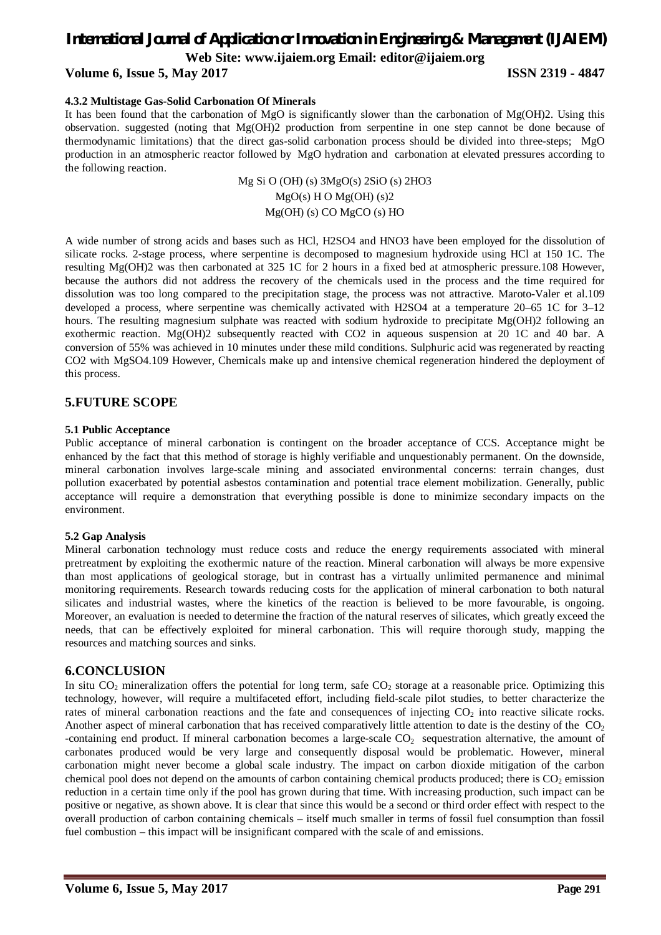**Web Site: www.ijaiem.org Email: editor@ijaiem.org**

#### **Volume 6, Issue 5, May 2017 ISSN 2319 - 4847**

#### **4.3.2 Multistage Gas-Solid Carbonation Of Minerals**

It has been found that the carbonation of MgO is significantly slower than the carbonation of Mg(OH)2. Using this observation. suggested (noting that Mg(OH)2 production from serpentine in one step cannot be done because of thermodynamic limitations) that the direct gas-solid carbonation process should be divided into three-steps; MgO production in an atmospheric reactor followed by MgO hydration and carbonation at elevated pressures according to the following reaction.

> Mg Si O (OH) (s) 3MgO(s) 2SiO (s) 2HO3  $MgO(s)$  H O  $Mg(OH)$  (s)2 Mg(OH) (s) CO MgCO (s) HO

A wide number of strong acids and bases such as HCl, H2SO4 and HNO3 have been employed for the dissolution of silicate rocks. 2-stage process, where serpentine is decomposed to magnesium hydroxide using HCl at 150 1C. The resulting Mg(OH)2 was then carbonated at 325 1C for 2 hours in a fixed bed at atmospheric pressure.108 However, because the authors did not address the recovery of the chemicals used in the process and the time required for dissolution was too long compared to the precipitation stage, the process was not attractive. Maroto-Valer et al.109 developed a process, where serpentine was chemically activated with H2SO4 at a temperature 20–65 1C for 3–12 hours. The resulting magnesium sulphate was reacted with sodium hydroxide to precipitate Mg(OH)2 following an exothermic reaction. Mg(OH)2 subsequently reacted with CO2 in aqueous suspension at 20 1C and 40 bar. A conversion of 55% was achieved in 10 minutes under these mild conditions. Sulphuric acid was regenerated by reacting CO2 with MgSO4.109 However, Chemicals make up and intensive chemical regeneration hindered the deployment of this process.

#### **5.FUTURE SCOPE**

#### **5.1 Public Acceptance**

Public acceptance of mineral carbonation is contingent on the broader acceptance of CCS. Acceptance might be enhanced by the fact that this method of storage is highly verifiable and unquestionably permanent. On the downside, mineral carbonation involves large-scale mining and associated environmental concerns: terrain changes, dust pollution exacerbated by potential asbestos contamination and potential trace element mobilization. Generally, public acceptance will require a demonstration that everything possible is done to minimize secondary impacts on the environment.

#### **5.2 Gap Analysis**

Mineral carbonation technology must reduce costs and reduce the energy requirements associated with mineral pretreatment by exploiting the exothermic nature of the reaction. Mineral carbonation will always be more expensive than most applications of geological storage, but in contrast has a virtually unlimited permanence and minimal monitoring requirements. Research towards reducing costs for the application of mineral carbonation to both natural silicates and industrial wastes, where the kinetics of the reaction is believed to be more favourable, is ongoing. Moreover, an evaluation is needed to determine the fraction of the natural reserves of silicates, which greatly exceed the needs, that can be effectively exploited for mineral carbonation. This will require thorough study, mapping the resources and matching sources and sinks.

#### **6.CONCLUSION**

In situ  $CO_2$  mineralization offers the potential for long term, safe  $CO_2$  storage at a reasonable price. Optimizing this technology, however, will require a multifaceted effort, including field-scale pilot studies, to better characterize the rates of mineral carbonation reactions and the fate and consequences of injecting  $CO<sub>2</sub>$  into reactive silicate rocks. Another aspect of mineral carbonation that has received comparatively little attention to date is the destiny of the  $CO<sub>2</sub>$ -containing end product. If mineral carbonation becomes a large-scale  $CO<sub>2</sub>$  sequestration alternative, the amount of carbonates produced would be very large and consequently disposal would be problematic. However, mineral carbonation might never become a global scale industry. The impact on carbon dioxide mitigation of the carbon chemical pool does not depend on the amounts of carbon containing chemical products produced; there is  $CO<sub>2</sub>$  emission reduction in a certain time only if the pool has grown during that time. With increasing production, such impact can be positive or negative, as shown above. It is clear that since this would be a second or third order effect with respect to the overall production of carbon containing chemicals – itself much smaller in terms of fossil fuel consumption than fossil fuel combustion – this impact will be insignificant compared with the scale of and emissions.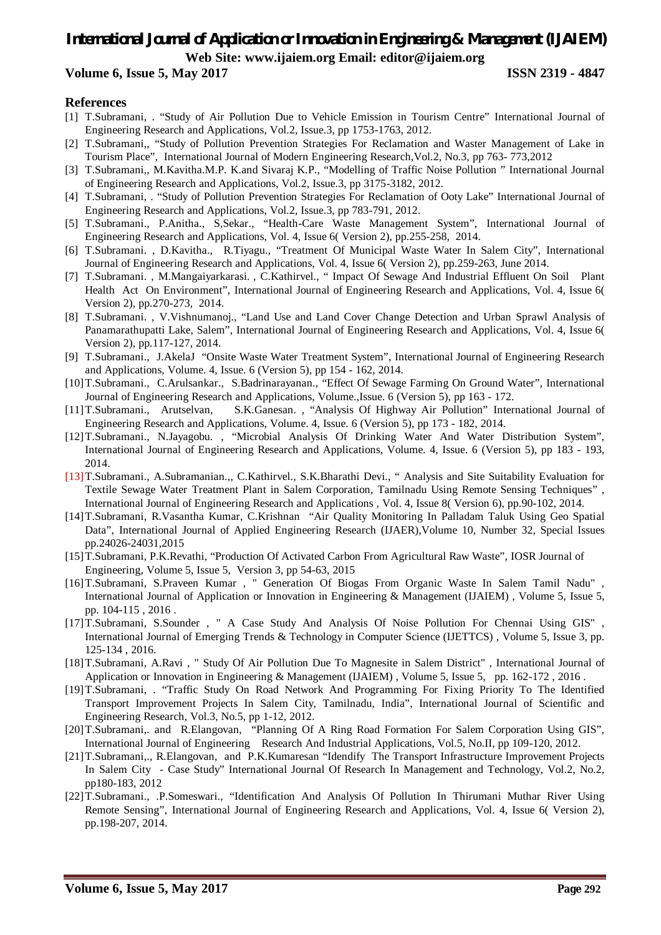## *International Journal of Application or Innovation in Engineering & Management (IJAIEM)* **Web Site: www.ijaiem.org Email: editor@ijaiem.org**

#### **Volume 6, Issue 5, May 2017 ISSN 2319 - 4847**

#### **References**

- [1] T.Subramani, . "Study of Air Pollution Due to Vehicle Emission in Tourism Centre" International Journal of Engineering Research and Applications, Vol.2, Issue.3, pp 1753-1763, 2012.
- [2] T.Subramani,, "Study of Pollution Prevention Strategies For Reclamation and Waster Management of Lake in Tourism Place", International Journal of Modern Engineering Research,Vol.2, No.3, pp 763- 773,2012
- [3] T.Subramani,, M.Kavitha.M.P. K.and Sivaraj K.P., "Modelling of Traffic Noise Pollution " International Journal of Engineering Research and Applications, Vol.2, Issue.3, pp 3175-3182, 2012.
- [4] T.Subramani, . "Study of Pollution Prevention Strategies For Reclamation of Ooty Lake" International Journal of Engineering Research and Applications, Vol.2, Issue.3, pp 783-791, 2012.
- [5] T.Subramani., P.Anitha., S,Sekar., "Health-Care Waste Management System", International Journal of Engineering Research and Applications, Vol. 4, Issue 6( Version 2), pp.255-258, 2014.
- [6] T.Subramani. , D.Kavitha., R.Tiyagu., "Treatment Of Municipal Waste Water In Salem City", International Journal of Engineering Research and Applications, Vol. 4, Issue 6( Version 2), pp.259-263, June 2014.
- [7] T.Subramani. , M.Mangaiyarkarasi. , C.Kathirvel., " Impact Of Sewage And Industrial Effluent On Soil Plant Health Act On Environment", International Journal of Engineering Research and Applications, Vol. 4, Issue 6( Version 2), pp.270-273, 2014.
- [8] T.Subramani. , V.Vishnumanoj., "Land Use and Land Cover Change Detection and Urban Sprawl Analysis of Panamarathupatti Lake, Salem", International Journal of Engineering Research and Applications, Vol. 4, Issue 6( Version 2), pp.117-127, 2014.
- [9] T.Subramani., J.AkelaJ "Onsite Waste Water Treatment System", International Journal of Engineering Research and Applications, Volume. 4, Issue. 6 (Version 5), pp 154 - 162, 2014.
- [10]T.Subramani., C.Arulsankar., S.Badrinarayanan., "Effect Of Sewage Farming On Ground Water", International Journal of Engineering Research and Applications, Volume.,Issue. 6 (Version 5), pp 163 - 172.
- [11]T.Subramani., Arutselvan, S.K.Ganesan., "Analysis Of Highway Air Pollution" International Journal of Engineering Research and Applications, Volume. 4, Issue. 6 (Version 5), pp 173 - 182, 2014.
- [12]T.Subramani., N.Jayagobu. , "Microbial Analysis Of Drinking Water And Water Distribution System", International Journal of Engineering Research and Applications, Volume. 4, Issue. 6 (Version 5), pp 183 - 193, 2014.
- [13]T.Subramani., A.Subramanian.,, C.Kathirvel., S.K.Bharathi Devi., " Analysis and Site Suitability Evaluation for Textile Sewage Water Treatment Plant in Salem Corporation, Tamilnadu Using Remote Sensing Techniques" , International Journal of Engineering Research and Applications , Vol. 4, Issue 8( Version 6), pp.90-102, 2014.
- [14]T.Subramani, R.Vasantha Kumar, C.Krishnan "Air Quality Monitoring In Palladam Taluk Using Geo Spatial Data", International Journal of Applied Engineering Research (IJAER),Volume 10, Number 32, Special Issues pp.24026-24031,2015
- [15]T.Subramani, P.K.Revathi, "Production Of Activated Carbon From Agricultural Raw Waste", IOSR Journal of Engineering, Volume 5, Issue 5, Version 3, pp 54-63, 2015
- [16]T.Subramani, S.Praveen Kumar , " Generation Of Biogas From Organic Waste In Salem Tamil Nadu" , International Journal of Application or Innovation in Engineering & Management (IJAIEM) , Volume 5, Issue 5, pp. 104-115 , 2016 .
- [17]T.Subramani, S.Sounder , " A Case Study And Analysis Of Noise Pollution For Chennai Using GIS" , International Journal of Emerging Trends & Technology in Computer Science (IJETTCS) , Volume 5, Issue 3, pp. 125-134 , 2016.
- [18]T.Subramani, A.Ravi , " Study Of Air Pollution Due To Magnesite in Salem District" , International Journal of Application or Innovation in Engineering & Management (IJAIEM) , Volume 5, Issue 5, pp. 162-172 , 2016 .
- [19]T.Subramani, . "Traffic Study On Road Network And Programming For Fixing Priority To The Identified Transport Improvement Projects In Salem City, Tamilnadu, India", International Journal of Scientific and Engineering Research, Vol.3, No.5, pp 1-12, 2012.
- [20]T.Subramani,. and R.Elangovan, "Planning Of A Ring Road Formation For Salem Corporation Using GIS", International Journal of Engineering Research And Industrial Applications, Vol.5, No.II, pp 109-120, 2012.
- [21]T.Subramani,., R.Elangovan, and P.K.Kumaresan "Idendify The Transport Infrastructure Improvement Projects In Salem City - Case Study" International Journal Of Research In Management and Technology, Vol.2, No.2, pp180-183, 2012
- [22]T.Subramani., .P.Someswari., "Identification And Analysis Of Pollution In Thirumani Muthar River Using Remote Sensing", International Journal of Engineering Research and Applications, Vol. 4, Issue 6( Version 2), pp.198-207, 2014.